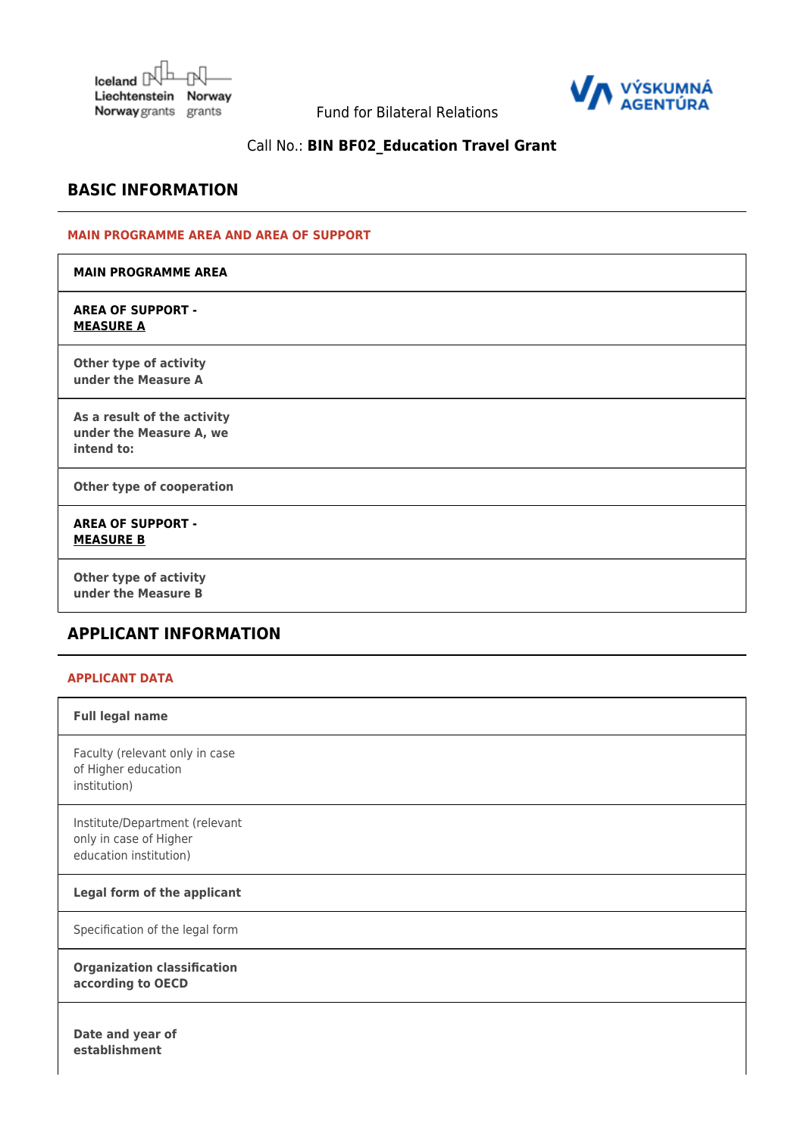Iceland  $\mathbb{N}^{\mathbb{L}}$ Liechtenstein Norway Norway grants grants



Fund for Bilateral Relations

# Call No.: **BIN BF02\_Education Travel Grant**

## **BASIC INFORMATION**

#### **MAIN PROGRAMME AREA AND AREA OF SUPPORT**

| <b>MAIN PROGRAMME AREA</b>                                           |  |
|----------------------------------------------------------------------|--|
| <b>AREA OF SUPPORT -</b><br><b>MEASURE A</b>                         |  |
| Other type of activity<br>under the Measure A                        |  |
| As a result of the activity<br>under the Measure A, we<br>intend to: |  |
| Other type of cooperation                                            |  |
| <b>AREA OF SUPPORT -</b><br><b>MEASURE B</b>                         |  |
| Other type of activity<br>under the Measure B                        |  |

# **APPLICANT INFORMATION**

#### **APPLICANT DATA**

| <b>Full legal name</b>                                                             |
|------------------------------------------------------------------------------------|
| Faculty (relevant only in case<br>of Higher education<br>institution)              |
| Institute/Department (relevant<br>only in case of Higher<br>education institution) |
| Legal form of the applicant                                                        |
| Specification of the legal form                                                    |
| <b>Organization classification</b><br>according to OECD                            |
| Date and year of<br>establishment                                                  |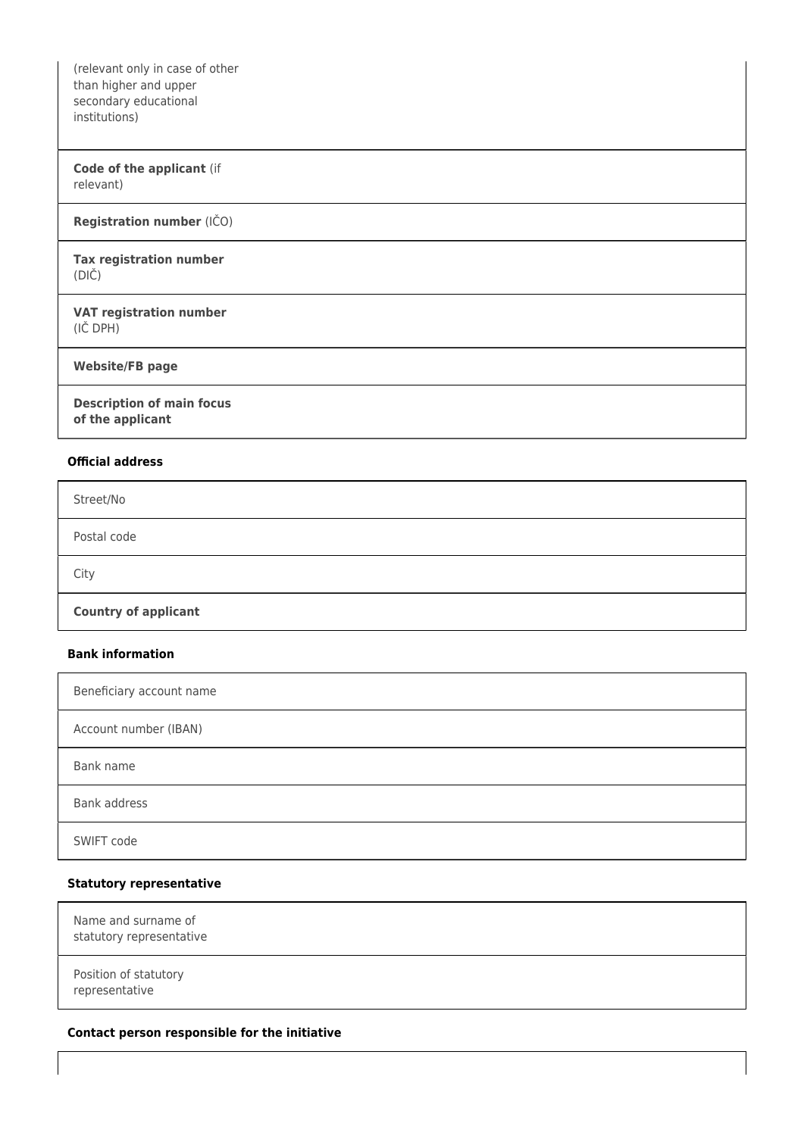(relevant only in case of other than higher and upper secondary educational institutions)

#### **Code of the applicant** (if relevant)

#### **Registration number** (IČO)

#### **Tax registration number** (DIČ)

#### **VAT registration number** (IČ DPH)

**Website/FB page**

**Description of main focus of the applicant**

#### **Official address**

| Street/No                   |  |
|-----------------------------|--|
| Postal code                 |  |
| City                        |  |
| <b>Country of applicant</b> |  |

#### **Bank information**

| Beneficiary account name |  |
|--------------------------|--|
| Account number (IBAN)    |  |
| Bank name                |  |
| Bank address             |  |
| SWIFT code               |  |

#### **Statutory representative**

| Name and surname of<br>statutory representative |  |
|-------------------------------------------------|--|
| Position of statutory<br>representative         |  |

#### **Contact person responsible for the initiative**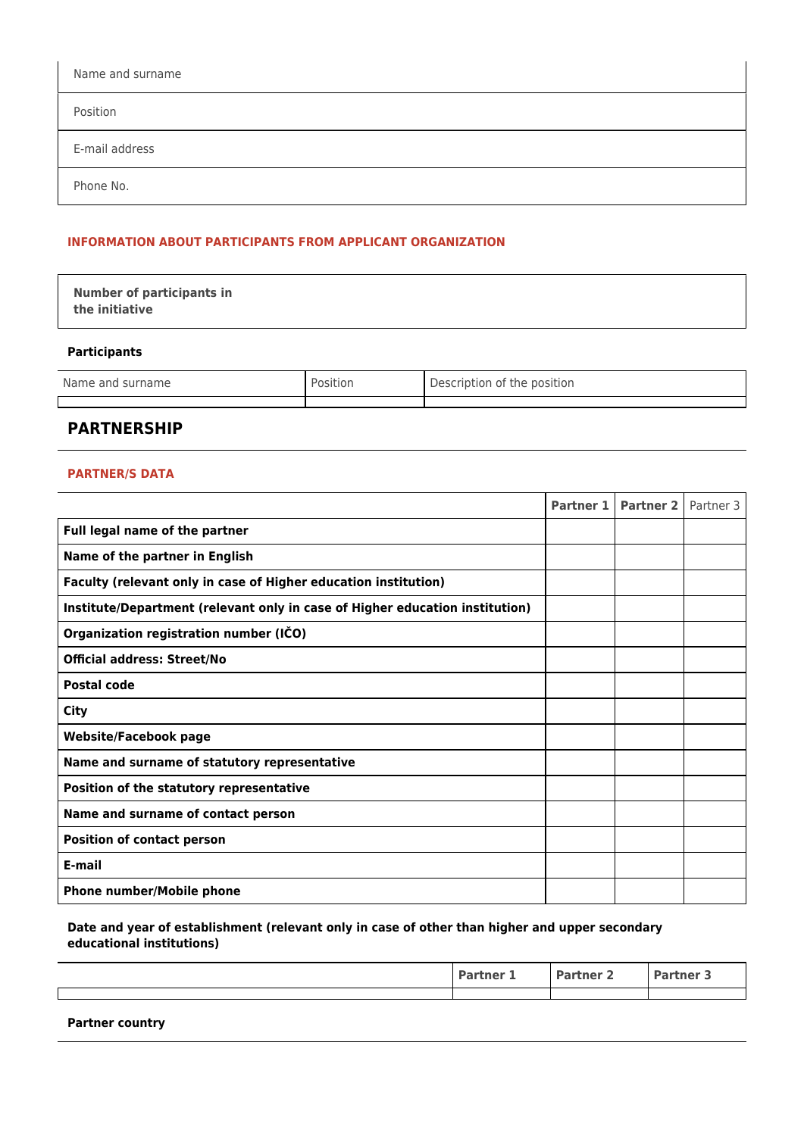| Name and surname |  |
|------------------|--|
| Position         |  |
| E-mail address   |  |
| Phone No.        |  |

#### **INFORMATION ABOUT PARTICIPANTS FROM APPLICANT ORGANIZATION**

| <b>Number of participants in</b> |  |
|----------------------------------|--|
| the initiative                   |  |

## **Participants**

| Name and surname | Position | Description of the position |
|------------------|----------|-----------------------------|
|                  |          |                             |

## **PARTNERSHIP**

#### **PARTNER/S DATA**

|                                                                              | Partner 1 | Partner 2   Partner 3 |  |
|------------------------------------------------------------------------------|-----------|-----------------------|--|
| Full legal name of the partner                                               |           |                       |  |
| Name of the partner in English                                               |           |                       |  |
| Faculty (relevant only in case of Higher education institution)              |           |                       |  |
| Institute/Department (relevant only in case of Higher education institution) |           |                       |  |
| Organization registration number (IČO)                                       |           |                       |  |
| <b>Official address: Street/No</b>                                           |           |                       |  |
| Postal code                                                                  |           |                       |  |
| <b>City</b>                                                                  |           |                       |  |
| <b>Website/Facebook page</b>                                                 |           |                       |  |
| Name and surname of statutory representative                                 |           |                       |  |
| Position of the statutory representative                                     |           |                       |  |
| Name and surname of contact person                                           |           |                       |  |
| <b>Position of contact person</b>                                            |           |                       |  |
| E-mail                                                                       |           |                       |  |
| Phone number/Mobile phone                                                    |           |                       |  |

#### **Date and year of establishment (relevant only in case of other than higher and upper secondary educational institutions)**

| tner | tner | tner 3 |
|------|------|--------|
|      |      |        |
|      |      |        |

**Partner country**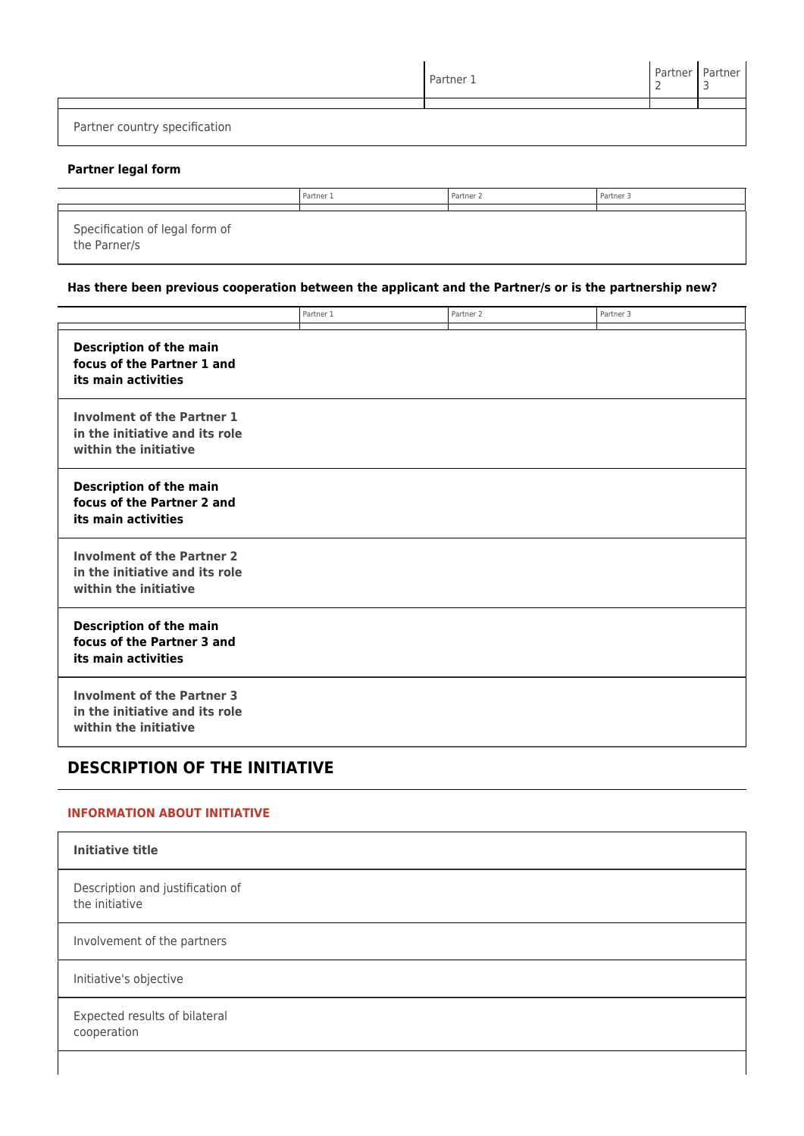|                               | Partner 1 | Partner   Partner |
|-------------------------------|-----------|-------------------|
|                               |           |                   |
| Partner country specification |           |                   |

#### **Partner legal form**

|                                                | Partner 1 | Partner <sub>2</sub> | Partner 3 |
|------------------------------------------------|-----------|----------------------|-----------|
| Specification of legal form of<br>the Parner/s |           |                      |           |

## **Has there been previous cooperation between the applicant and the Partner/s or is the partnership new?**

|                                                                                              | Partner 1 | Partner <sub>2</sub> | Partner 3 |
|----------------------------------------------------------------------------------------------|-----------|----------------------|-----------|
| <b>Description of the main</b><br>focus of the Partner 1 and<br>its main activities          |           |                      |           |
| <b>Involment of the Partner 1</b><br>in the initiative and its role<br>within the initiative |           |                      |           |
| <b>Description of the main</b><br>focus of the Partner 2 and<br>its main activities          |           |                      |           |
| <b>Involment of the Partner 2</b><br>in the initiative and its role<br>within the initiative |           |                      |           |
| <b>Description of the main</b><br>focus of the Partner 3 and<br>its main activities          |           |                      |           |
| <b>Involment of the Partner 3</b><br>in the initiative and its role<br>within the initiative |           |                      |           |

# **DESCRIPTION OF THE INITIATIVE**

## **INFORMATION ABOUT INITIATIVE**

| <b>Initiative title</b>                            |  |
|----------------------------------------------------|--|
| Description and justification of<br>the initiative |  |
| Involvement of the partners                        |  |
| Initiative's objective                             |  |
| Expected results of bilateral<br>cooperation       |  |
|                                                    |  |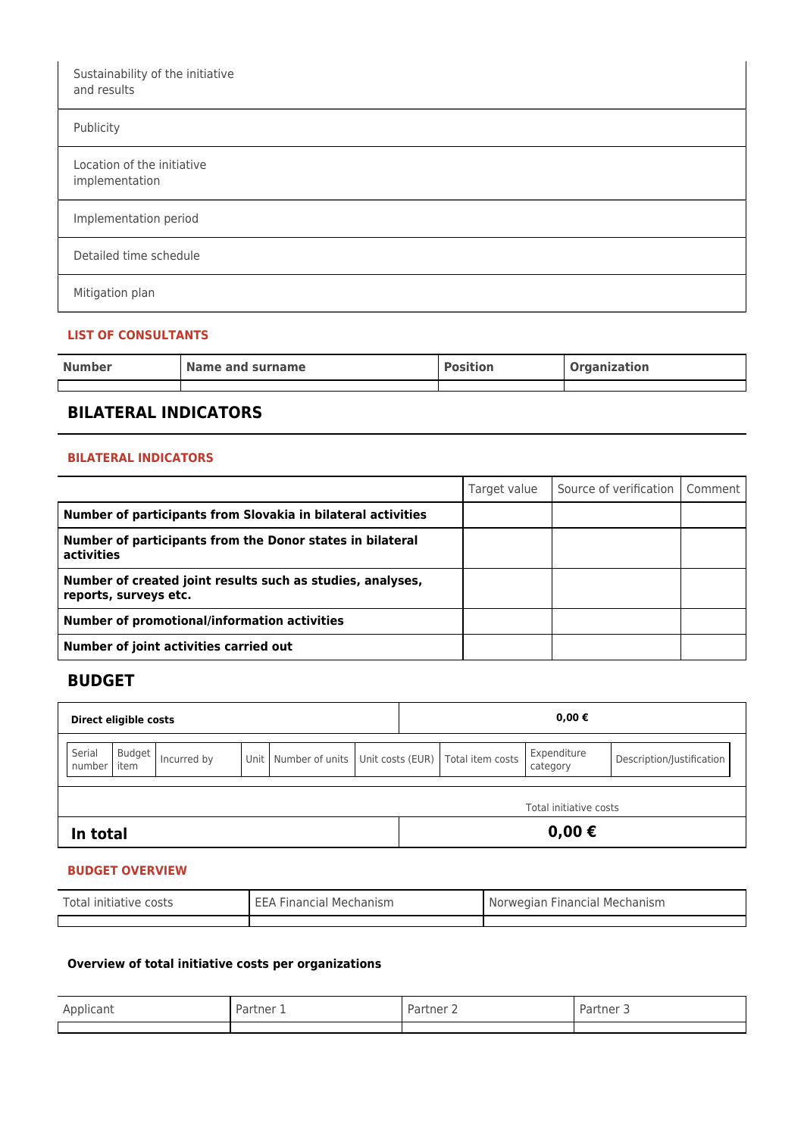| Sustainability of the initiative<br>and results |  |
|-------------------------------------------------|--|
| Publicity                                       |  |
| Location of the initiative<br>implementation    |  |
| Implementation period                           |  |
| Detailed time schedule                          |  |
| Mitigation plan                                 |  |

## **LIST OF CONSULTANTS**

| <b>Number</b> | Name and surname | <b>Position</b> | <b>Organization</b> |
|---------------|------------------|-----------------|---------------------|
|               |                  |                 |                     |

# **BILATERAL INDICATORS**

#### **BILATERAL INDICATORS**

|                                                                                     | Target value | Source of verification   Comment |  |
|-------------------------------------------------------------------------------------|--------------|----------------------------------|--|
| Number of participants from Slovakia in bilateral activities                        |              |                                  |  |
| Number of participants from the Donor states in bilateral<br>activities             |              |                                  |  |
| Number of created joint results such as studies, analyses,<br>reports, surveys etc. |              |                                  |  |
| Number of promotional/information activities                                        |              |                                  |  |
| Number of joint activities carried out                                              |              |                                  |  |

## **BUDGET**

| Direct eligible costs                                                         |                        |  | $0,00 \in$                          |                         |                           |  |  |
|-------------------------------------------------------------------------------|------------------------|--|-------------------------------------|-------------------------|---------------------------|--|--|
| Serial<br>Budget<br>Unit   Number of units  <br>Incurred by<br>item<br>number |                        |  | Unit costs (EUR)   Total item costs | Expenditure<br>category | Description/Justification |  |  |
|                                                                               | Total initiative costs |  |                                     |                         |                           |  |  |
| $0,00 \in$<br>In total                                                        |                        |  |                                     |                         |                           |  |  |

## **BUDGET OVERVIEW**

| Total initiative costs | <b>EEA Financial Mechanism</b> | Norwegian Financial Mechanism |  |
|------------------------|--------------------------------|-------------------------------|--|
|                        |                                |                               |  |

## **Overview of total initiative costs per organizations**

| Applicant | artner 1<br>ʻd i | Partner | tner<br>ו ור |
|-----------|------------------|---------|--------------|
|           |                  |         |              |